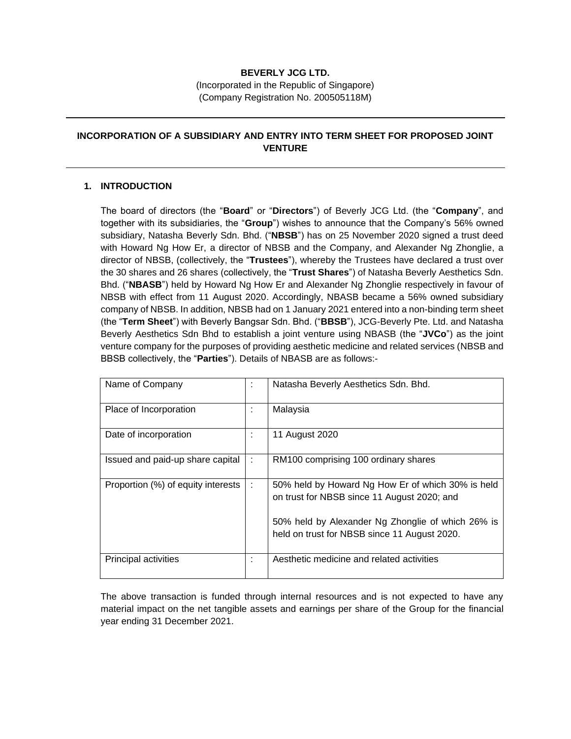# **BEVERLY JCG LTD.**

(Incorporated in the Republic of Singapore) (Company Registration No. 200505118M)

# **INCORPORATION OF A SUBSIDIARY AND ENTRY INTO TERM SHEET FOR PROPOSED JOINT VENTURE**

## **1. INTRODUCTION**

The board of directors (the "**Board**" or "**Directors**") of Beverly JCG Ltd. (the "**Company**", and together with its subsidiaries, the "**Group**") wishes to announce that the Company's 56% owned subsidiary, Natasha Beverly Sdn. Bhd. ("**NBSB**") has on 25 November 2020 signed a trust deed with Howard Ng How Er, a director of NBSB and the Company, and Alexander Ng Zhonglie, a director of NBSB, (collectively, the "**Trustees**"), whereby the Trustees have declared a trust over the 30 shares and 26 shares (collectively, the "**Trust Shares**") of Natasha Beverly Aesthetics Sdn. Bhd. ("**NBASB**") held by Howard Ng How Er and Alexander Ng Zhonglie respectively in favour of NBSB with effect from 11 August 2020. Accordingly, NBASB became a 56% owned subsidiary company of NBSB. In addition, NBSB had on 1 January 2021 entered into a non-binding term sheet (the "**Term Sheet**") with Beverly Bangsar Sdn. Bhd. ("**BBSB**"), JCG-Beverly Pte. Ltd. and Natasha Beverly Aesthetics Sdn Bhd to establish a joint venture using NBASB (the "**JVCo**") as the joint venture company for the purposes of providing aesthetic medicine and related services (NBSB and BBSB collectively, the "**Parties**"). Details of NBASB are as follows:-

| Name of Company                    | ÷            | Natasha Beverly Aesthetics Sdn. Bhd.                                                              |
|------------------------------------|--------------|---------------------------------------------------------------------------------------------------|
| Place of Incorporation             | $\mathbf{r}$ | Malaysia                                                                                          |
| Date of incorporation              | ٠            | 11 August 2020                                                                                    |
| Issued and paid-up share capital   | ÷            | RM100 comprising 100 ordinary shares                                                              |
| Proportion (%) of equity interests |              | 50% held by Howard Ng How Er of which 30% is held<br>on trust for NBSB since 11 August 2020; and  |
|                                    |              | 50% held by Alexander Ng Zhonglie of which 26% is<br>held on trust for NBSB since 11 August 2020. |
| Principal activities               |              | Aesthetic medicine and related activities                                                         |

The above transaction is funded through internal resources and is not expected to have any material impact on the net tangible assets and earnings per share of the Group for the financial year ending 31 December 2021.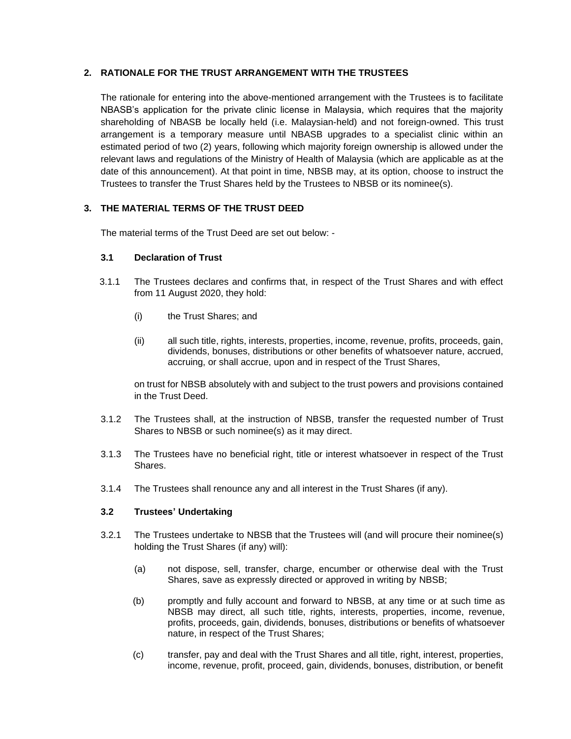# **2. RATIONALE FOR THE TRUST ARRANGEMENT WITH THE TRUSTEES**

The rationale for entering into the above-mentioned arrangement with the Trustees is to facilitate NBASB's application for the private clinic license in Malaysia, which requires that the majority shareholding of NBASB be locally held (i.e. Malaysian-held) and not foreign-owned. This trust arrangement is a temporary measure until NBASB upgrades to a specialist clinic within an estimated period of two (2) years, following which majority foreign ownership is allowed under the relevant laws and regulations of the Ministry of Health of Malaysia (which are applicable as at the date of this announcement). At that point in time, NBSB may, at its option, choose to instruct the Trustees to transfer the Trust Shares held by the Trustees to NBSB or its nominee(s).

# **3. THE MATERIAL TERMS OF THE TRUST DEED**

The material terms of the Trust Deed are set out below: -

### **3.1 Declaration of Trust**

- 3.1.1 The Trustees declares and confirms that, in respect of the Trust Shares and with effect from 11 August 2020, they hold:
	- (i) the Trust Shares; and
	- (ii) all such title, rights, interests, properties, income, revenue, profits, proceeds, gain, dividends, bonuses, distributions or other benefits of whatsoever nature, accrued, accruing, or shall accrue, upon and in respect of the Trust Shares,

on trust for NBSB absolutely with and subject to the trust powers and provisions contained in the Trust Deed.

- 3.1.2 The Trustees shall, at the instruction of NBSB, transfer the requested number of Trust Shares to NBSB or such nominee(s) as it may direct.
- 3.1.3 The Trustees have no beneficial right, title or interest whatsoever in respect of the Trust Shares.
- 3.1.4 The Trustees shall renounce any and all interest in the Trust Shares (if any).

### **3.2 Trustees' Undertaking**

- 3.2.1 The Trustees undertake to NBSB that the Trustees will (and will procure their nominee(s) holding the Trust Shares (if any) will):
	- (a) not dispose, sell, transfer, charge, encumber or otherwise deal with the Trust Shares, save as expressly directed or approved in writing by NBSB;
	- (b) promptly and fully account and forward to NBSB, at any time or at such time as NBSB may direct, all such title, rights, interests, properties, income, revenue, profits, proceeds, gain, dividends, bonuses, distributions or benefits of whatsoever nature, in respect of the Trust Shares;
	- (c) transfer, pay and deal with the Trust Shares and all title, right, interest, properties, income, revenue, profit, proceed, gain, dividends, bonuses, distribution, or benefit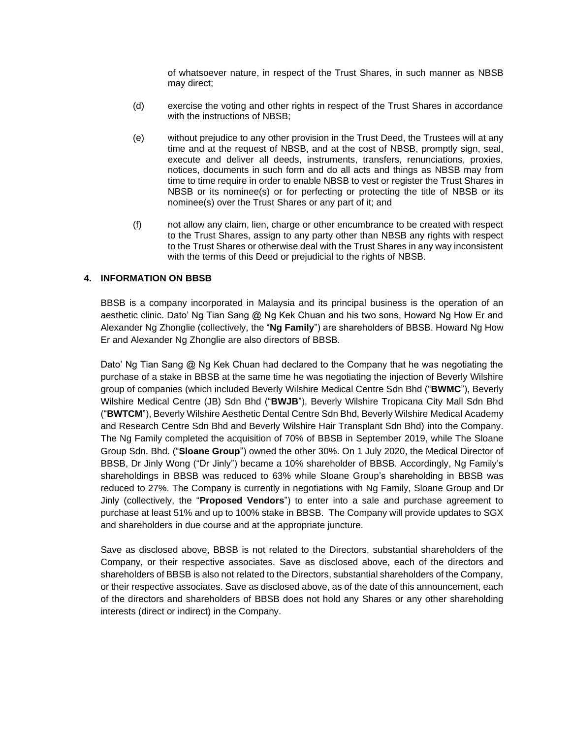of whatsoever nature, in respect of the Trust Shares, in such manner as NBSB may direct;

- (d) exercise the voting and other rights in respect of the Trust Shares in accordance with the instructions of NBSB;
- (e) without prejudice to any other provision in the Trust Deed, the Trustees will at any time and at the request of NBSB, and at the cost of NBSB, promptly sign, seal, execute and deliver all deeds, instruments, transfers, renunciations, proxies, notices, documents in such form and do all acts and things as NBSB may from time to time require in order to enable NBSB to vest or register the Trust Shares in NBSB or its nominee(s) or for perfecting or protecting the title of NBSB or its nominee(s) over the Trust Shares or any part of it; and
- (f) not allow any claim, lien, charge or other encumbrance to be created with respect to the Trust Shares, assign to any party other than NBSB any rights with respect to the Trust Shares or otherwise deal with the Trust Shares in any way inconsistent with the terms of this Deed or prejudicial to the rights of NBSB.

### **4. INFORMATION ON BBSB**

BBSB is a company incorporated in Malaysia and its principal business is the operation of an aesthetic clinic. Dato' Ng Tian Sang @ Ng Kek Chuan and his two sons, Howard Ng How Er and Alexander Ng Zhonglie (collectively, the "**Ng Family**") are shareholders of BBSB. Howard Ng How Er and Alexander Ng Zhonglie are also directors of BBSB.

Dato' Ng Tian Sang @ Ng Kek Chuan had declared to the Company that he was negotiating the purchase of a stake in BBSB at the same time he was negotiating the injection of Beverly Wilshire group of companies (which included Beverly Wilshire Medical Centre Sdn Bhd ("**BWMC**"), Beverly Wilshire Medical Centre (JB) Sdn Bhd ("**BWJB**"), Beverly Wilshire Tropicana City Mall Sdn Bhd ("**BWTCM**"), Beverly Wilshire Aesthetic Dental Centre Sdn Bhd, Beverly Wilshire Medical Academy and Research Centre Sdn Bhd and Beverly Wilshire Hair Transplant Sdn Bhd) into the Company. The Ng Family completed the acquisition of 70% of BBSB in September 2019, while The Sloane Group Sdn. Bhd. ("**Sloane Group**") owned the other 30%. On 1 July 2020, the Medical Director of BBSB, Dr Jinly Wong ("Dr Jinly") became a 10% shareholder of BBSB. Accordingly, Ng Family's shareholdings in BBSB was reduced to 63% while Sloane Group's shareholding in BBSB was reduced to 27%. The Company is currently in negotiations with Ng Family, Sloane Group and Dr Jinly (collectively, the "**Proposed Vendors**") to enter into a sale and purchase agreement to purchase at least 51% and up to 100% stake in BBSB. The Company will provide updates to SGX and shareholders in due course and at the appropriate juncture.

Save as disclosed above, BBSB is not related to the Directors, substantial shareholders of the Company, or their respective associates. Save as disclosed above, each of the directors and shareholders of BBSB is also not related to the Directors, substantial shareholders of the Company, or their respective associates. Save as disclosed above, as of the date of this announcement, each of the directors and shareholders of BBSB does not hold any Shares or any other shareholding interests (direct or indirect) in the Company.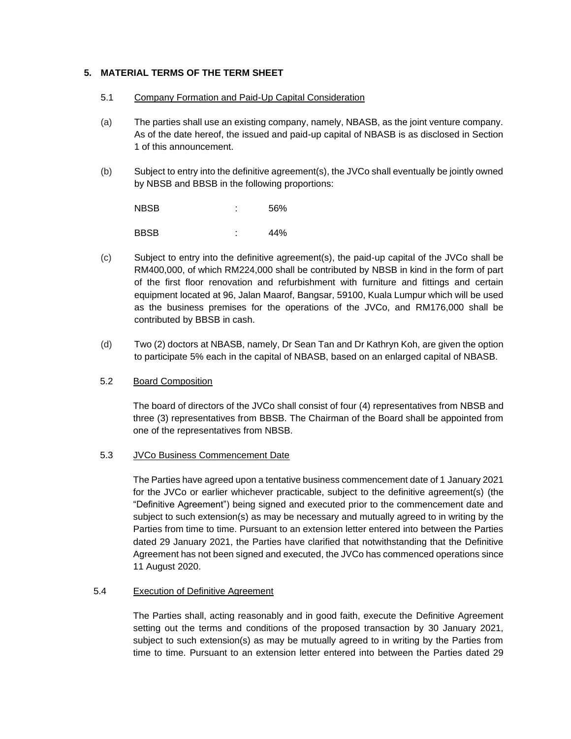# **5. MATERIAL TERMS OF THE TERM SHEET**

## 5.1 Company Formation and Paid-Up Capital Consideration

- (a) The parties shall use an existing company, namely, NBASB, as the joint venture company. As of the date hereof, the issued and paid-up capital of NBASB is as disclosed in Section 1 of this announcement.
- (b) Subject to entry into the definitive agreement(s), the JVCo shall eventually be jointly owned by NBSB and BBSB in the following proportions:

NBSB : 56% BBSB : 44%

- (c) Subject to entry into the definitive agreement(s), the paid-up capital of the JVCo shall be RM400,000, of which RM224,000 shall be contributed by NBSB in kind in the form of part of the first floor renovation and refurbishment with furniture and fittings and certain equipment located at 96, Jalan Maarof, Bangsar, 59100, Kuala Lumpur which will be used as the business premises for the operations of the JVCo, and RM176,000 shall be contributed by BBSB in cash.
- (d) Two (2) doctors at NBASB, namely, Dr Sean Tan and Dr Kathryn Koh, are given the option to participate 5% each in the capital of NBASB, based on an enlarged capital of NBASB.

### 5.2 Board Composition

The board of directors of the JVCo shall consist of four (4) representatives from NBSB and three (3) representatives from BBSB. The Chairman of the Board shall be appointed from one of the representatives from NBSB.

# 5.3 JVCo Business Commencement Date

The Parties have agreed upon a tentative business commencement date of 1 January 2021 for the JVCo or earlier whichever practicable, subject to the definitive agreement(s) (the "Definitive Agreement") being signed and executed prior to the commencement date and subject to such extension(s) as may be necessary and mutually agreed to in writing by the Parties from time to time. Pursuant to an extension letter entered into between the Parties dated 29 January 2021, the Parties have clarified that notwithstanding that the Definitive Agreement has not been signed and executed, the JVCo has commenced operations since 11 August 2020.

### 5.4 Execution of Definitive Agreement

The Parties shall, acting reasonably and in good faith, execute the Definitive Agreement setting out the terms and conditions of the proposed transaction by 30 January 2021, subject to such extension(s) as may be mutually agreed to in writing by the Parties from time to time. Pursuant to an extension letter entered into between the Parties dated 29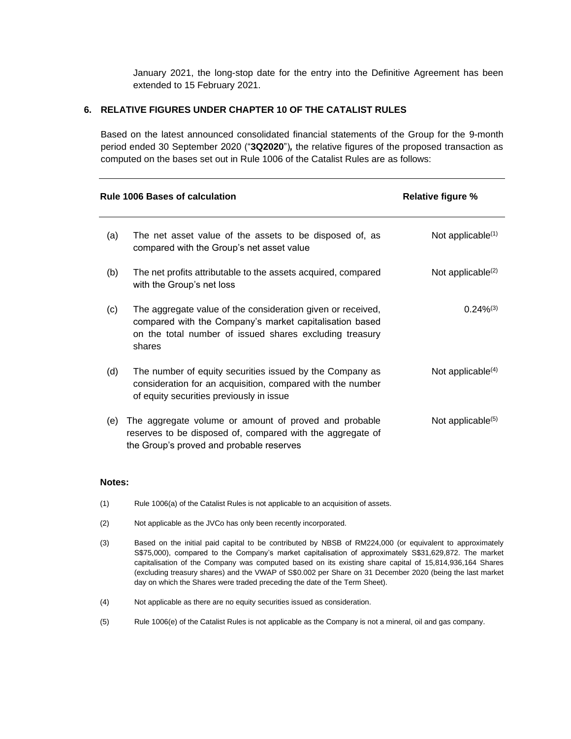January 2021, the long-stop date for the entry into the Definitive Agreement has been extended to 15 February 2021.

# **6. RELATIVE FIGURES UNDER CHAPTER 10 OF THE CATALIST RULES**

Based on the latest announced consolidated financial statements of the Group for the 9-month period ended 30 September 2020 ("**3Q2020**")*,* the relative figures of the proposed transaction as computed on the bases set out in Rule 1006 of the Catalist Rules are as follows:

| <b>Rule 1006 Bases of calculation</b> |                                                                                                                                                                                             | <b>Relative figure %</b> |
|---------------------------------------|---------------------------------------------------------------------------------------------------------------------------------------------------------------------------------------------|--------------------------|
| (a)                                   | The net asset value of the assets to be disposed of, as<br>compared with the Group's net asset value                                                                                        | Not applicable $(1)$     |
| (b)                                   | The net profits attributable to the assets acquired, compared<br>with the Group's net loss                                                                                                  | Not applicable $(2)$     |
| (c)                                   | The aggregate value of the consideration given or received,<br>compared with the Company's market capitalisation based<br>on the total number of issued shares excluding treasury<br>shares | $0.24\%^{(3)}$           |
| (d)                                   | The number of equity securities issued by the Company as<br>consideration for an acquisition, compared with the number<br>of equity securities previously in issue                          | Not applicable $(4)$     |
| (e)                                   | The aggregate volume or amount of proved and probable<br>reserves to be disposed of, compared with the aggregate of<br>the Group's proved and probable reserves                             | Not applicable $(5)$     |

#### **Notes:**

- (1) Rule 1006(a) of the Catalist Rules is not applicable to an acquisition of assets.
- (2) Not applicable as the JVCo has only been recently incorporated.
- (3) Based on the initial paid capital to be contributed by NBSB of RM224,000 (or equivalent to approximately S\$75,000), compared to the Company's market capitalisation of approximately S\$31,629,872. The market capitalisation of the Company was computed based on its existing share capital of 15,814,936,164 Shares (excluding treasury shares) and the VWAP of S\$0.002 per Share on 31 December 2020 (being the last market day on which the Shares were traded preceding the date of the Term Sheet).
- (4) Not applicable as there are no equity securities issued as consideration.
- (5) Rule 1006(e) of the Catalist Rules is not applicable as the Company is not a mineral, oil and gas company.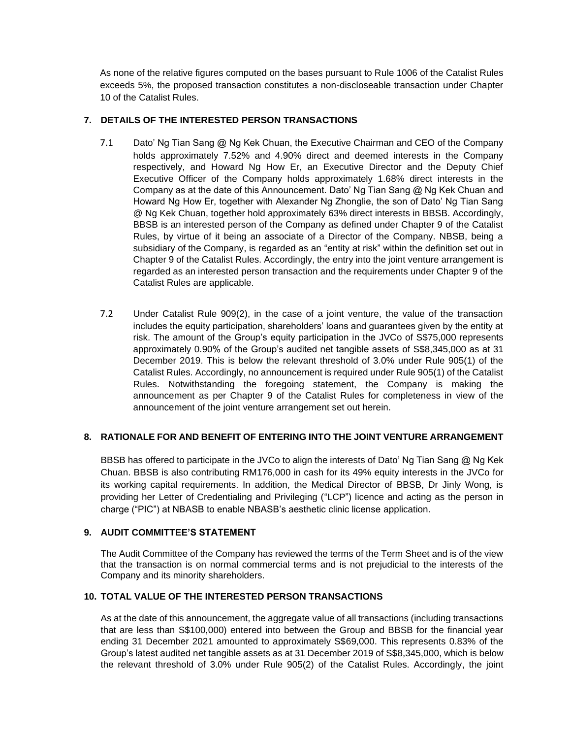As none of the relative figures computed on the bases pursuant to Rule 1006 of the Catalist Rules exceeds 5%, the proposed transaction constitutes a non-discloseable transaction under Chapter 10 of the Catalist Rules.

# **7. DETAILS OF THE INTERESTED PERSON TRANSACTIONS**

- 7.1 Dato' Ng Tian Sang @ Ng Kek Chuan, the Executive Chairman and CEO of the Company holds approximately 7.52% and 4.90% direct and deemed interests in the Company respectively, and Howard Ng How Er, an Executive Director and the Deputy Chief Executive Officer of the Company holds approximately 1.68% direct interests in the Company as at the date of this Announcement. Dato' Ng Tian Sang @ Ng Kek Chuan and Howard Ng How Er, together with Alexander Ng Zhonglie, the son of Dato' Ng Tian Sang @ Ng Kek Chuan, together hold approximately 63% direct interests in BBSB. Accordingly, BBSB is an interested person of the Company as defined under Chapter 9 of the Catalist Rules, by virtue of it being an associate of a Director of the Company. NBSB, being a subsidiary of the Company, is regarded as an "entity at risk" within the definition set out in Chapter 9 of the Catalist Rules. Accordingly, the entry into the joint venture arrangement is regarded as an interested person transaction and the requirements under Chapter 9 of the Catalist Rules are applicable.
- 7.2 Under Catalist Rule 909(2), in the case of a joint venture, the value of the transaction includes the equity participation, shareholders' loans and guarantees given by the entity at risk. The amount of the Group's equity participation in the JVCo of S\$75,000 represents approximately 0.90% of the Group's audited net tangible assets of S\$8,345,000 as at 31 December 2019. This is below the relevant threshold of 3.0% under Rule 905(1) of the Catalist Rules. Accordingly, no announcement is required under Rule 905(1) of the Catalist Rules. Notwithstanding the foregoing statement, the Company is making the announcement as per Chapter 9 of the Catalist Rules for completeness in view of the announcement of the joint venture arrangement set out herein.

# **8. RATIONALE FOR AND BENEFIT OF ENTERING INTO THE JOINT VENTURE ARRANGEMENT**

BBSB has offered to participate in the JVCo to align the interests of Dato' Ng Tian Sang @ Ng Kek Chuan. BBSB is also contributing RM176,000 in cash for its 49% equity interests in the JVCo for its working capital requirements. In addition, the Medical Director of BBSB, Dr Jinly Wong, is providing her Letter of Credentialing and Privileging ("LCP") licence and acting as the person in charge ("PIC") at NBASB to enable NBASB's aesthetic clinic license application.

# **9. AUDIT COMMITTEE'S STATEMENT**

The Audit Committee of the Company has reviewed the terms of the Term Sheet and is of the view that the transaction is on normal commercial terms and is not prejudicial to the interests of the Company and its minority shareholders.

# **10. TOTAL VALUE OF THE INTERESTED PERSON TRANSACTIONS**

As at the date of this announcement, the aggregate value of all transactions (including transactions that are less than S\$100,000) entered into between the Group and BBSB for the financial year ending 31 December 2021 amounted to approximately S\$69,000. This represents 0.83% of the Group's latest audited net tangible assets as at 31 December 2019 of S\$8,345,000, which is below the relevant threshold of 3.0% under Rule 905(2) of the Catalist Rules. Accordingly, the joint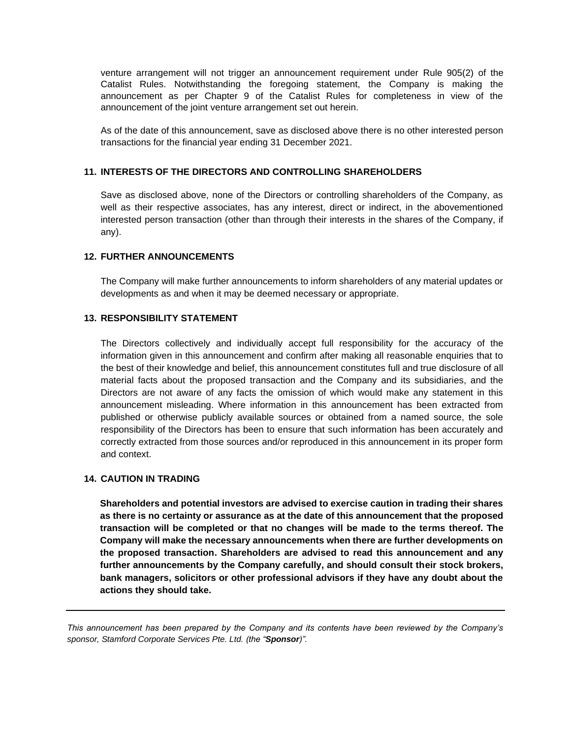venture arrangement will not trigger an announcement requirement under Rule 905(2) of the Catalist Rules. Notwithstanding the foregoing statement, the Company is making the announcement as per Chapter 9 of the Catalist Rules for completeness in view of the announcement of the joint venture arrangement set out herein.

As of the date of this announcement, save as disclosed above there is no other interested person transactions for the financial year ending 31 December 2021.

## **11. INTERESTS OF THE DIRECTORS AND CONTROLLING SHAREHOLDERS**

Save as disclosed above, none of the Directors or controlling shareholders of the Company, as well as their respective associates, has any interest, direct or indirect, in the abovementioned interested person transaction (other than through their interests in the shares of the Company, if any).

### **12. FURTHER ANNOUNCEMENTS**

The Company will make further announcements to inform shareholders of any material updates or developments as and when it may be deemed necessary or appropriate.

### **13. RESPONSIBILITY STATEMENT**

The Directors collectively and individually accept full responsibility for the accuracy of the information given in this announcement and confirm after making all reasonable enquiries that to the best of their knowledge and belief, this announcement constitutes full and true disclosure of all material facts about the proposed transaction and the Company and its subsidiaries, and the Directors are not aware of any facts the omission of which would make any statement in this announcement misleading. Where information in this announcement has been extracted from published or otherwise publicly available sources or obtained from a named source, the sole responsibility of the Directors has been to ensure that such information has been accurately and correctly extracted from those sources and/or reproduced in this announcement in its proper form and context.

### **14. CAUTION IN TRADING**

**Shareholders and potential investors are advised to exercise caution in trading their shares as there is no certainty or assurance as at the date of this announcement that the proposed transaction will be completed or that no changes will be made to the terms thereof. The Company will make the necessary announcements when there are further developments on the proposed transaction. Shareholders are advised to read this announcement and any further announcements by the Company carefully, and should consult their stock brokers, bank managers, solicitors or other professional advisors if they have any doubt about the actions they should take.**

*This announcement has been prepared by the Company and its contents have been reviewed by the Company's sponsor, Stamford Corporate Services Pte. Ltd. (the "Sponsor)".*